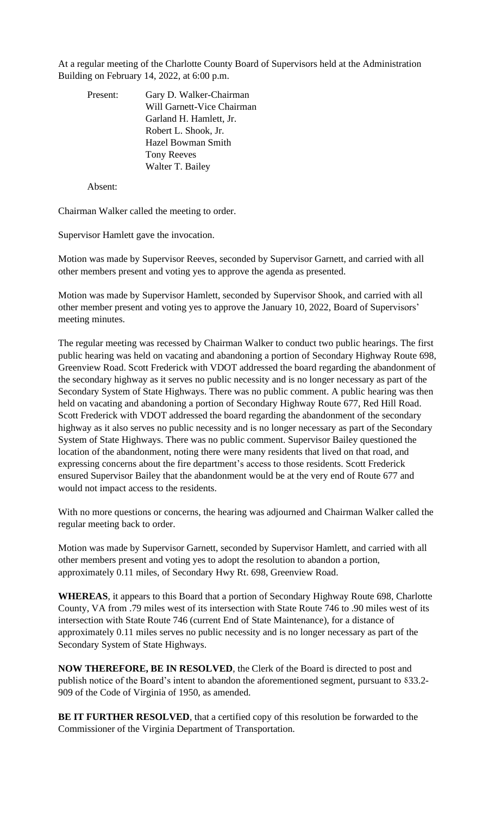At a regular meeting of the Charlotte County Board of Supervisors held at the Administration Building on February 14, 2022, at 6:00 p.m.

| Present: | Gary D. Walker-Chairman    |
|----------|----------------------------|
|          | Will Garnett-Vice Chairman |
|          | Garland H. Hamlett, Jr.    |
|          | Robert L. Shook, Jr.       |
|          | Hazel Bowman Smith         |
|          | <b>Tony Reeves</b>         |
|          | Walter T. Bailey           |

Absent:

Chairman Walker called the meeting to order.

Supervisor Hamlett gave the invocation.

Motion was made by Supervisor Reeves, seconded by Supervisor Garnett, and carried with all other members present and voting yes to approve the agenda as presented.

Motion was made by Supervisor Hamlett, seconded by Supervisor Shook, and carried with all other member present and voting yes to approve the January 10, 2022, Board of Supervisors' meeting minutes.

The regular meeting was recessed by Chairman Walker to conduct two public hearings. The first public hearing was held on vacating and abandoning a portion of Secondary Highway Route 698, Greenview Road. Scott Frederick with VDOT addressed the board regarding the abandonment of the secondary highway as it serves no public necessity and is no longer necessary as part of the Secondary System of State Highways. There was no public comment. A public hearing was then held on vacating and abandoning a portion of Secondary Highway Route 677, Red Hill Road. Scott Frederick with VDOT addressed the board regarding the abandonment of the secondary highway as it also serves no public necessity and is no longer necessary as part of the Secondary System of State Highways. There was no public comment. Supervisor Bailey questioned the location of the abandonment, noting there were many residents that lived on that road, and expressing concerns about the fire department's access to those residents. Scott Frederick ensured Supervisor Bailey that the abandonment would be at the very end of Route 677 and would not impact access to the residents.

With no more questions or concerns, the hearing was adjourned and Chairman Walker called the regular meeting back to order.

Motion was made by Supervisor Garnett, seconded by Supervisor Hamlett, and carried with all other members present and voting yes to adopt the resolution to abandon a portion, approximately 0.11 miles, of Secondary Hwy Rt. 698, Greenview Road.

**WHEREAS**, it appears to this Board that a portion of Secondary Highway Route 698, Charlotte County, VA from .79 miles west of its intersection with State Route 746 to .90 miles west of its intersection with State Route 746 (current End of State Maintenance), for a distance of approximately 0.11 miles serves no public necessity and is no longer necessary as part of the Secondary System of State Highways.

**NOW THEREFORE, BE IN RESOLVED**, the Clerk of the Board is directed to post and publish notice of the Board's intent to abandon the aforementioned segment, pursuant to 833.2-909 of the Code of Virginia of 1950, as amended.

**BE IT FURTHER RESOLVED**, that a certified copy of this resolution be forwarded to the Commissioner of the Virginia Department of Transportation.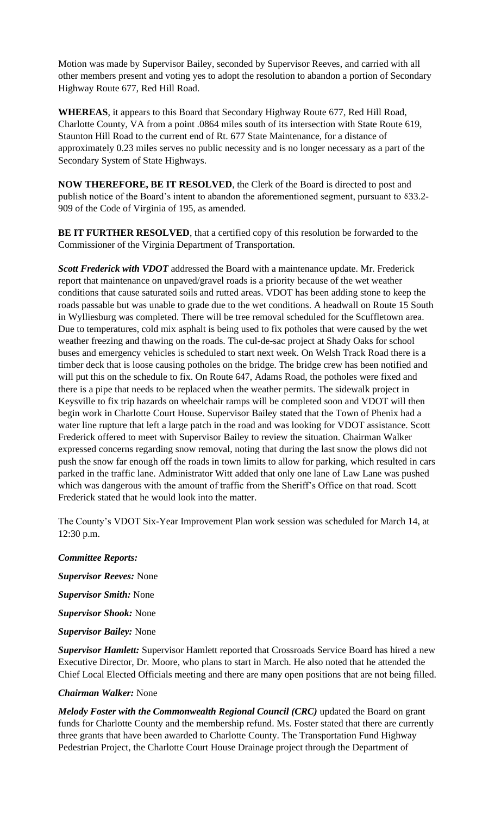Motion was made by Supervisor Bailey, seconded by Supervisor Reeves, and carried with all other members present and voting yes to adopt the resolution to abandon a portion of Secondary Highway Route 677, Red Hill Road.

**WHEREAS**, it appears to this Board that Secondary Highway Route 677, Red Hill Road, Charlotte County, VA from a point .0864 miles south of its intersection with State Route 619, Staunton Hill Road to the current end of Rt. 677 State Maintenance, for a distance of approximately 0.23 miles serves no public necessity and is no longer necessary as a part of the Secondary System of State Highways.

**NOW THEREFORE, BE IT RESOLVED**, the Clerk of the Board is directed to post and publish notice of the Board's intent to abandon the aforementioned segment, pursuant to  $833.2$ -909 of the Code of Virginia of 195, as amended.

**BE IT FURTHER RESOLVED**, that a certified copy of this resolution be forwarded to the Commissioner of the Virginia Department of Transportation.

*Scott Frederick with VDOT* addressed the Board with a maintenance update. Mr. Frederick report that maintenance on unpaved/gravel roads is a priority because of the wet weather conditions that cause saturated soils and rutted areas. VDOT has been adding stone to keep the roads passable but was unable to grade due to the wet conditions. A headwall on Route 15 South in Wylliesburg was completed. There will be tree removal scheduled for the Scuffletown area. Due to temperatures, cold mix asphalt is being used to fix potholes that were caused by the wet weather freezing and thawing on the roads. The cul-de-sac project at Shady Oaks for school buses and emergency vehicles is scheduled to start next week. On Welsh Track Road there is a timber deck that is loose causing potholes on the bridge. The bridge crew has been notified and will put this on the schedule to fix. On Route 647, Adams Road, the potholes were fixed and there is a pipe that needs to be replaced when the weather permits. The sidewalk project in Keysville to fix trip hazards on wheelchair ramps will be completed soon and VDOT will then begin work in Charlotte Court House. Supervisor Bailey stated that the Town of Phenix had a water line rupture that left a large patch in the road and was looking for VDOT assistance. Scott Frederick offered to meet with Supervisor Bailey to review the situation. Chairman Walker expressed concerns regarding snow removal, noting that during the last snow the plows did not push the snow far enough off the roads in town limits to allow for parking, which resulted in cars parked in the traffic lane. Administrator Witt added that only one lane of Law Lane was pushed which was dangerous with the amount of traffic from the Sheriff's Office on that road. Scott Frederick stated that he would look into the matter.

The County's VDOT Six-Year Improvement Plan work session was scheduled for March 14, at 12:30 p.m.

# *Committee Reports:*

*Supervisor Reeves:* None

*Supervisor Smith:* None

*Supervisor Shook:* None

*Supervisor Bailey:* None

*Supervisor Hamlett:* Supervisor Hamlett reported that Crossroads Service Board has hired a new Executive Director, Dr. Moore, who plans to start in March. He also noted that he attended the Chief Local Elected Officials meeting and there are many open positions that are not being filled.

## *Chairman Walker:* None

*Melody Foster with the Commonwealth Regional Council (CRC)* updated the Board on grant funds for Charlotte County and the membership refund. Ms. Foster stated that there are currently three grants that have been awarded to Charlotte County. The Transportation Fund Highway Pedestrian Project, the Charlotte Court House Drainage project through the Department of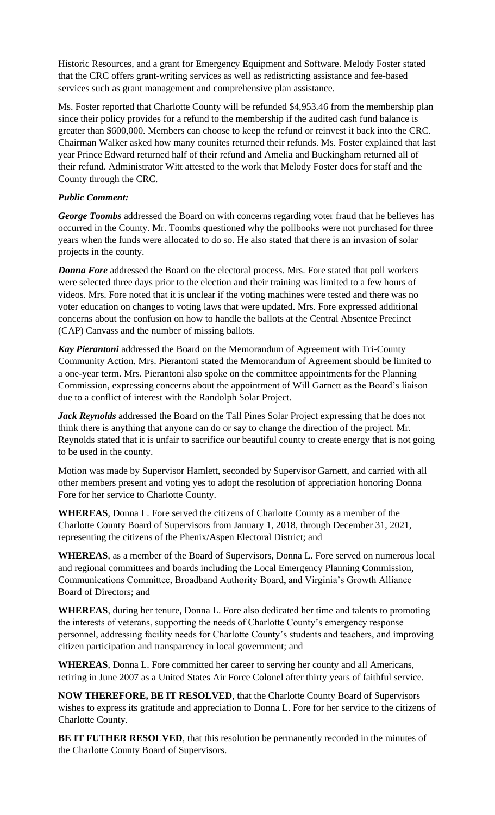Historic Resources, and a grant for Emergency Equipment and Software. Melody Foster stated that the CRC offers grant-writing services as well as redistricting assistance and fee-based services such as grant management and comprehensive plan assistance.

Ms. Foster reported that Charlotte County will be refunded \$4,953.46 from the membership plan since their policy provides for a refund to the membership if the audited cash fund balance is greater than \$600,000. Members can choose to keep the refund or reinvest it back into the CRC. Chairman Walker asked how many counites returned their refunds. Ms. Foster explained that last year Prince Edward returned half of their refund and Amelia and Buckingham returned all of their refund. Administrator Witt attested to the work that Melody Foster does for staff and the County through the CRC.

## *Public Comment:*

*George Toombs* addressed the Board on with concerns regarding voter fraud that he believes has occurred in the County. Mr. Toombs questioned why the pollbooks were not purchased for three years when the funds were allocated to do so. He also stated that there is an invasion of solar projects in the county.

*Donna Fore* addressed the Board on the electoral process. Mrs. Fore stated that poll workers were selected three days prior to the election and their training was limited to a few hours of videos. Mrs. Fore noted that it is unclear if the voting machines were tested and there was no voter education on changes to voting laws that were updated. Mrs. Fore expressed additional concerns about the confusion on how to handle the ballots at the Central Absentee Precinct (CAP) Canvass and the number of missing ballots.

*Kay Pierantoni* addressed the Board on the Memorandum of Agreement with Tri-County Community Action. Mrs. Pierantoni stated the Memorandum of Agreement should be limited to a one-year term. Mrs. Pierantoni also spoke on the committee appointments for the Planning Commission, expressing concerns about the appointment of Will Garnett as the Board's liaison due to a conflict of interest with the Randolph Solar Project.

*Jack Reynolds* addressed the Board on the Tall Pines Solar Project expressing that he does not think there is anything that anyone can do or say to change the direction of the project. Mr. Reynolds stated that it is unfair to sacrifice our beautiful county to create energy that is not going to be used in the county.

Motion was made by Supervisor Hamlett, seconded by Supervisor Garnett, and carried with all other members present and voting yes to adopt the resolution of appreciation honoring Donna Fore for her service to Charlotte County.

**WHEREAS**, Donna L. Fore served the citizens of Charlotte County as a member of the Charlotte County Board of Supervisors from January 1, 2018, through December 31, 2021, representing the citizens of the Phenix/Aspen Electoral District; and

**WHEREAS**, as a member of the Board of Supervisors, Donna L. Fore served on numerous local and regional committees and boards including the Local Emergency Planning Commission, Communications Committee, Broadband Authority Board, and Virginia's Growth Alliance Board of Directors; and

**WHEREAS**, during her tenure, Donna L. Fore also dedicated her time and talents to promoting the interests of veterans, supporting the needs of Charlotte County's emergency response personnel, addressing facility needs for Charlotte County's students and teachers, and improving citizen participation and transparency in local government; and

**WHEREAS**, Donna L. Fore committed her career to serving her county and all Americans, retiring in June 2007 as a United States Air Force Colonel after thirty years of faithful service.

**NOW THEREFORE, BE IT RESOLVED**, that the Charlotte County Board of Supervisors wishes to express its gratitude and appreciation to Donna L. Fore for her service to the citizens of Charlotte County.

**BE IT FUTHER RESOLVED**, that this resolution be permanently recorded in the minutes of the Charlotte County Board of Supervisors.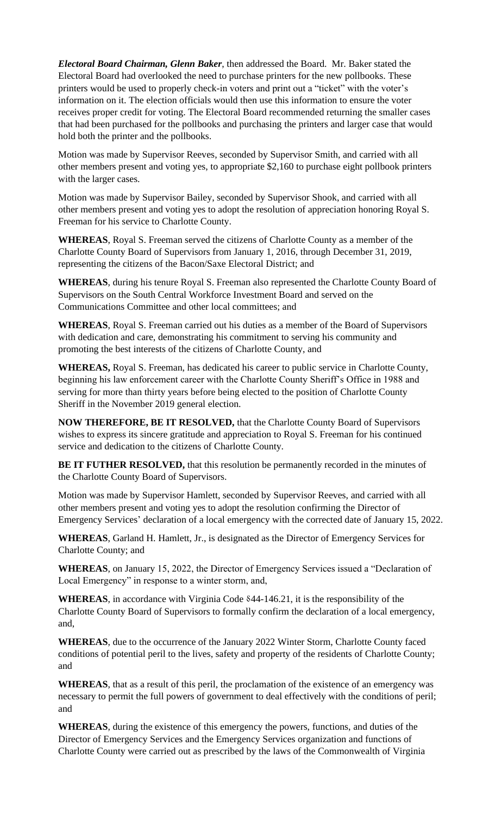*Electoral Board Chairman, Glenn Baker*, then addressed the Board. Mr. Baker stated the Electoral Board had overlooked the need to purchase printers for the new pollbooks. These printers would be used to properly check-in voters and print out a "ticket" with the voter's information on it. The election officials would then use this information to ensure the voter receives proper credit for voting. The Electoral Board recommended returning the smaller cases that had been purchased for the pollbooks and purchasing the printers and larger case that would hold both the printer and the pollbooks.

Motion was made by Supervisor Reeves, seconded by Supervisor Smith, and carried with all other members present and voting yes, to appropriate \$2,160 to purchase eight pollbook printers with the larger cases.

Motion was made by Supervisor Bailey, seconded by Supervisor Shook, and carried with all other members present and voting yes to adopt the resolution of appreciation honoring Royal S. Freeman for his service to Charlotte County.

**WHEREAS**, Royal S. Freeman served the citizens of Charlotte County as a member of the Charlotte County Board of Supervisors from January 1, 2016, through December 31, 2019, representing the citizens of the Bacon/Saxe Electoral District; and

**WHEREAS**, during his tenure Royal S. Freeman also represented the Charlotte County Board of Supervisors on the South Central Workforce Investment Board and served on the Communications Committee and other local committees; and

**WHEREAS**, Royal S. Freeman carried out his duties as a member of the Board of Supervisors with dedication and care, demonstrating his commitment to serving his community and promoting the best interests of the citizens of Charlotte County, and

**WHEREAS,** Royal S. Freeman, has dedicated his career to public service in Charlotte County, beginning his law enforcement career with the Charlotte County Sheriff's Office in 1988 and serving for more than thirty years before being elected to the position of Charlotte County Sheriff in the November 2019 general election.

**NOW THEREFORE, BE IT RESOLVED,** that the Charlotte County Board of Supervisors wishes to express its sincere gratitude and appreciation to Royal S. Freeman for his continued service and dedication to the citizens of Charlotte County.

**BE IT FUTHER RESOLVED, that this resolution be permanently recorded in the minutes of** the Charlotte County Board of Supervisors.

Motion was made by Supervisor Hamlett, seconded by Supervisor Reeves, and carried with all other members present and voting yes to adopt the resolution confirming the Director of Emergency Services' declaration of a local emergency with the corrected date of January 15, 2022.

**WHEREAS**, Garland H. Hamlett, Jr., is designated as the Director of Emergency Services for Charlotte County; and

**WHEREAS**, on January 15, 2022, the Director of Emergency Services issued a "Declaration of Local Emergency" in response to a winter storm, and,

WHEREAS, in accordance with Virginia Code 844-146.21, it is the responsibility of the Charlotte County Board of Supervisors to formally confirm the declaration of a local emergency, and,

**WHEREAS**, due to the occurrence of the January 2022 Winter Storm, Charlotte County faced conditions of potential peril to the lives, safety and property of the residents of Charlotte County; and

**WHEREAS**, that as a result of this peril, the proclamation of the existence of an emergency was necessary to permit the full powers of government to deal effectively with the conditions of peril; and

**WHEREAS**, during the existence of this emergency the powers, functions, and duties of the Director of Emergency Services and the Emergency Services organization and functions of Charlotte County were carried out as prescribed by the laws of the Commonwealth of Virginia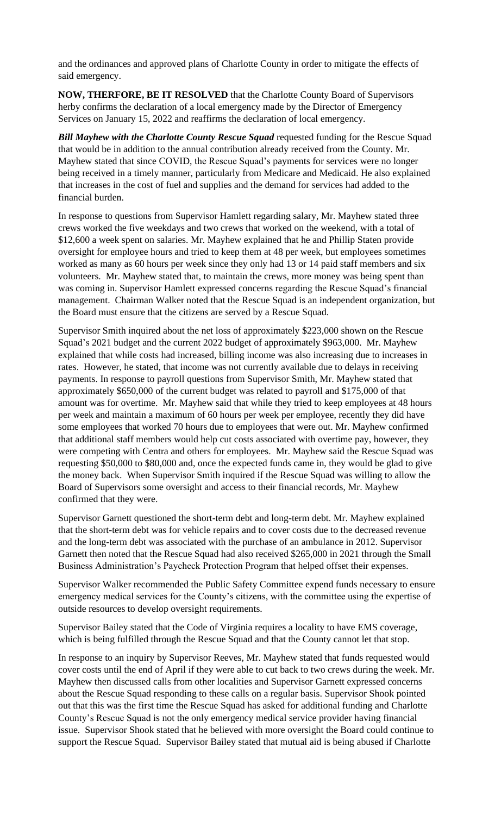and the ordinances and approved plans of Charlotte County in order to mitigate the effects of said emergency.

**NOW, THERFORE, BE IT RESOLVED** that the Charlotte County Board of Supervisors herby confirms the declaration of a local emergency made by the Director of Emergency Services on January 15, 2022 and reaffirms the declaration of local emergency.

*Bill Mayhew with the Charlotte County Rescue Squad* requested funding for the Rescue Squad that would be in addition to the annual contribution already received from the County. Mr. Mayhew stated that since COVID, the Rescue Squad's payments for services were no longer being received in a timely manner, particularly from Medicare and Medicaid. He also explained that increases in the cost of fuel and supplies and the demand for services had added to the financial burden.

In response to questions from Supervisor Hamlett regarding salary, Mr. Mayhew stated three crews worked the five weekdays and two crews that worked on the weekend, with a total of \$12,600 a week spent on salaries. Mr. Mayhew explained that he and Phillip Staten provide oversight for employee hours and tried to keep them at 48 per week, but employees sometimes worked as many as 60 hours per week since they only had 13 or 14 paid staff members and six volunteers. Mr. Mayhew stated that, to maintain the crews, more money was being spent than was coming in. Supervisor Hamlett expressed concerns regarding the Rescue Squad's financial management. Chairman Walker noted that the Rescue Squad is an independent organization, but the Board must ensure that the citizens are served by a Rescue Squad.

Supervisor Smith inquired about the net loss of approximately \$223,000 shown on the Rescue Squad's 2021 budget and the current 2022 budget of approximately \$963,000. Mr. Mayhew explained that while costs had increased, billing income was also increasing due to increases in rates. However, he stated, that income was not currently available due to delays in receiving payments. In response to payroll questions from Supervisor Smith, Mr. Mayhew stated that approximately \$650,000 of the current budget was related to payroll and \$175,000 of that amount was for overtime. Mr. Mayhew said that while they tried to keep employees at 48 hours per week and maintain a maximum of 60 hours per week per employee, recently they did have some employees that worked 70 hours due to employees that were out. Mr. Mayhew confirmed that additional staff members would help cut costs associated with overtime pay, however, they were competing with Centra and others for employees. Mr. Mayhew said the Rescue Squad was requesting \$50,000 to \$80,000 and, once the expected funds came in, they would be glad to give the money back. When Supervisor Smith inquired if the Rescue Squad was willing to allow the Board of Supervisors some oversight and access to their financial records, Mr. Mayhew confirmed that they were.

Supervisor Garnett questioned the short-term debt and long-term debt. Mr. Mayhew explained that the short-term debt was for vehicle repairs and to cover costs due to the decreased revenue and the long-term debt was associated with the purchase of an ambulance in 2012. Supervisor Garnett then noted that the Rescue Squad had also received \$265,000 in 2021 through the Small Business Administration's Paycheck Protection Program that helped offset their expenses.

Supervisor Walker recommended the Public Safety Committee expend funds necessary to ensure emergency medical services for the County's citizens, with the committee using the expertise of outside resources to develop oversight requirements.

Supervisor Bailey stated that the Code of Virginia requires a locality to have EMS coverage, which is being fulfilled through the Rescue Squad and that the County cannot let that stop.

In response to an inquiry by Supervisor Reeves, Mr. Mayhew stated that funds requested would cover costs until the end of April if they were able to cut back to two crews during the week. Mr. Mayhew then discussed calls from other localities and Supervisor Garnett expressed concerns about the Rescue Squad responding to these calls on a regular basis. Supervisor Shook pointed out that this was the first time the Rescue Squad has asked for additional funding and Charlotte County's Rescue Squad is not the only emergency medical service provider having financial issue. Supervisor Shook stated that he believed with more oversight the Board could continue to support the Rescue Squad. Supervisor Bailey stated that mutual aid is being abused if Charlotte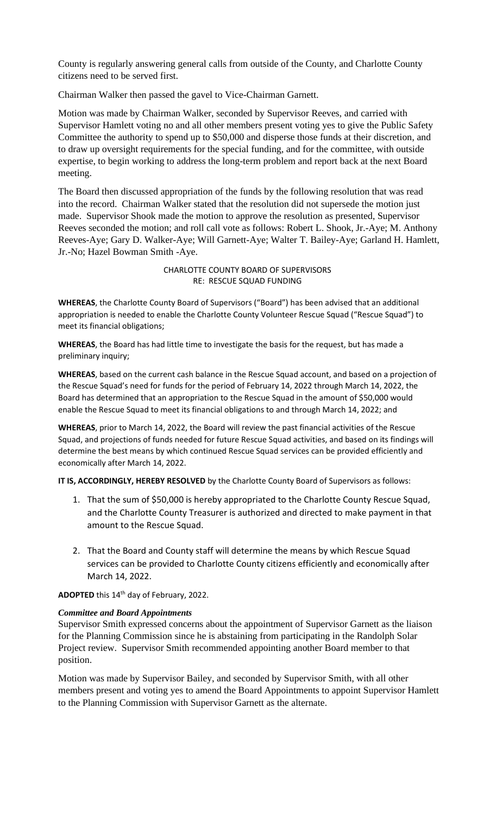County is regularly answering general calls from outside of the County, and Charlotte County citizens need to be served first.

Chairman Walker then passed the gavel to Vice-Chairman Garnett.

Motion was made by Chairman Walker, seconded by Supervisor Reeves, and carried with Supervisor Hamlett voting no and all other members present voting yes to give the Public Safety Committee the authority to spend up to \$50,000 and disperse those funds at their discretion, and to draw up oversight requirements for the special funding, and for the committee, with outside expertise, to begin working to address the long-term problem and report back at the next Board meeting.

The Board then discussed appropriation of the funds by the following resolution that was read into the record. Chairman Walker stated that the resolution did not supersede the motion just made. Supervisor Shook made the motion to approve the resolution as presented, Supervisor Reeves seconded the motion; and roll call vote as follows: Robert L. Shook, Jr.-Aye; M. Anthony Reeves-Aye; Gary D. Walker-Aye; Will Garnett-Aye; Walter T. Bailey-Aye; Garland H. Hamlett, Jr.-No; Hazel Bowman Smith -Aye.

> CHARLOTTE COUNTY BOARD OF SUPERVISORS RE: RESCUE SQUAD FUNDING

**WHEREAS**, the Charlotte County Board of Supervisors ("Board") has been advised that an additional appropriation is needed to enable the Charlotte County Volunteer Rescue Squad ("Rescue Squad") to meet its financial obligations;

**WHEREAS**, the Board has had little time to investigate the basis for the request, but has made a preliminary inquiry;

**WHEREAS**, based on the current cash balance in the Rescue Squad account, and based on a projection of the Rescue Squad's need for funds for the period of February 14, 2022 through March 14, 2022, the Board has determined that an appropriation to the Rescue Squad in the amount of \$50,000 would enable the Rescue Squad to meet its financial obligations to and through March 14, 2022; and

**WHEREAS**, prior to March 14, 2022, the Board will review the past financial activities of the Rescue Squad, and projections of funds needed for future Rescue Squad activities, and based on its findings will determine the best means by which continued Rescue Squad services can be provided efficiently and economically after March 14, 2022.

**IT IS, ACCORDINGLY, HEREBY RESOLVED** by the Charlotte County Board of Supervisors as follows:

- 1. That the sum of \$50,000 is hereby appropriated to the Charlotte County Rescue Squad, and the Charlotte County Treasurer is authorized and directed to make payment in that amount to the Rescue Squad.
- 2. That the Board and County staff will determine the means by which Rescue Squad services can be provided to Charlotte County citizens efficiently and economically after March 14, 2022.

ADOPTED this 14<sup>th</sup> day of February, 2022.

## *Committee and Board Appointments*

Supervisor Smith expressed concerns about the appointment of Supervisor Garnett as the liaison for the Planning Commission since he is abstaining from participating in the Randolph Solar Project review. Supervisor Smith recommended appointing another Board member to that position.

Motion was made by Supervisor Bailey, and seconded by Supervisor Smith, with all other members present and voting yes to amend the Board Appointments to appoint Supervisor Hamlett to the Planning Commission with Supervisor Garnett as the alternate.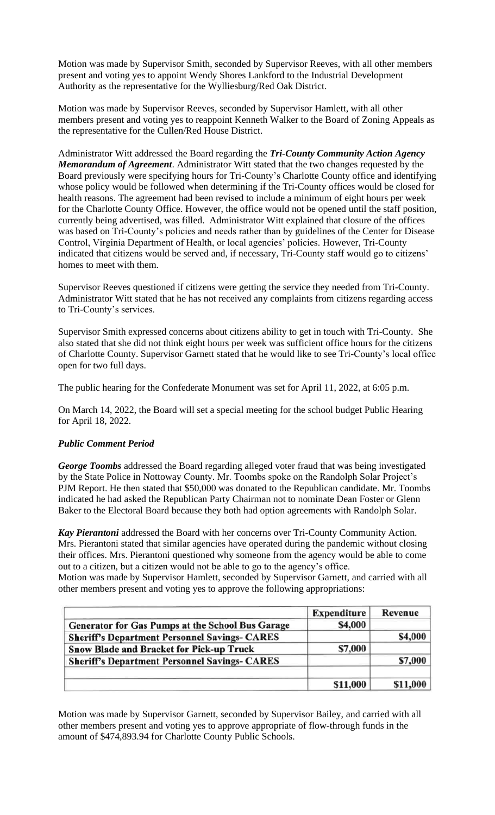Motion was made by Supervisor Smith, seconded by Supervisor Reeves, with all other members present and voting yes to appoint Wendy Shores Lankford to the Industrial Development Authority as the representative for the Wylliesburg/Red Oak District.

Motion was made by Supervisor Reeves, seconded by Supervisor Hamlett, with all other members present and voting yes to reappoint Kenneth Walker to the Board of Zoning Appeals as the representative for the Cullen/Red House District.

Administrator Witt addressed the Board regarding the *Tri-County Community Action Agency Memorandum of Agreement*. Administrator Witt stated that the two changes requested by the Board previously were specifying hours for Tri-County's Charlotte County office and identifying whose policy would be followed when determining if the Tri-County offices would be closed for health reasons. The agreement had been revised to include a minimum of eight hours per week for the Charlotte County Office. However, the office would not be opened until the staff position, currently being advertised, was filled. Administrator Witt explained that closure of the offices was based on Tri-County's policies and needs rather than by guidelines of the Center for Disease Control, Virginia Department of Health, or local agencies' policies. However, Tri-County indicated that citizens would be served and, if necessary, Tri-County staff would go to citizens' homes to meet with them.

Supervisor Reeves questioned if citizens were getting the service they needed from Tri-County. Administrator Witt stated that he has not received any complaints from citizens regarding access to Tri-County's services.

Supervisor Smith expressed concerns about citizens ability to get in touch with Tri-County. She also stated that she did not think eight hours per week was sufficient office hours for the citizens of Charlotte County. Supervisor Garnett stated that he would like to see Tri-County's local office open for two full days.

The public hearing for the Confederate Monument was set for April 11, 2022, at 6:05 p.m.

On March 14, 2022, the Board will set a special meeting for the school budget Public Hearing for April 18, 2022.

## *Public Comment Period*

*George Toombs* addressed the Board regarding alleged voter fraud that was being investigated by the State Police in Nottoway County. Mr. Toombs spoke on the Randolph Solar Project's PJM Report. He then stated that \$50,000 was donated to the Republican candidate. Mr. Toombs indicated he had asked the Republican Party Chairman not to nominate Dean Foster or Glenn Baker to the Electoral Board because they both had option agreements with Randolph Solar.

*Kay Pierantoni* addressed the Board with her concerns over Tri-County Community Action. Mrs. Pierantoni stated that similar agencies have operated during the pandemic without closing their offices. Mrs. Pierantoni questioned why someone from the agency would be able to come out to a citizen, but a citizen would not be able to go to the agency's office. Motion was made by Supervisor Hamlett, seconded by Supervisor Garnett, and carried with all

other members present and voting yes to approve the following appropriations:

|                                                      | <b>Expenditure</b> | Revenue  |
|------------------------------------------------------|--------------------|----------|
| Generator for Gas Pumps at the School Bus Garage     | \$4,000            |          |
| <b>Sheriff's Department Personnel Savings- CARES</b> |                    | \$4,000  |
| <b>Snow Blade and Bracket for Pick-up Truck</b>      | \$7,000            |          |
| <b>Sheriff's Department Personnel Savings- CARES</b> |                    | \$7,000  |
|                                                      |                    |          |
|                                                      | \$11,000           | \$11,000 |

Motion was made by Supervisor Garnett, seconded by Supervisor Bailey, and carried with all other members present and voting yes to approve appropriate of flow-through funds in the amount of \$474,893.94 for Charlotte County Public Schools.